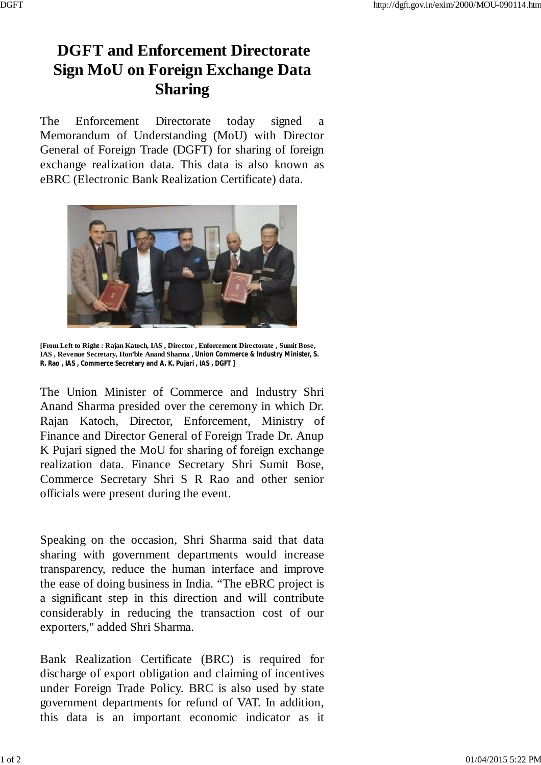The Enforcement Directorate today signed a Memorandum of Understanding (MoU) with Director General of Foreign Trade (DGFT) for sharing of foreign exchange realization data. This data is also known as eBRC (Electronic Bank Realization Certificate) data.



**[From Left to Right : Rajan Katoch, IAS , Director , Enforcement Directorate , Sumit Bose, IAS , Revenue Secretary, Hon'ble Anand Sharma , Union Commerce & Industry Minister, S. R. Rao , IAS , Commerce Secretary and A. K. Pujari , IAS , DGFT ]**

The Union Minister of Commerce and Industry Shri Anand Sharma presided over the ceremony in which Dr. Rajan Katoch, Director, Enforcement, Ministry of Finance and Director General of Foreign Trade Dr. Anup K Pujari signed the MoU for sharing of foreign exchange realization data. Finance Secretary Shri Sumit Bose, Commerce Secretary Shri S R Rao and other senior officials were present during the event.

Speaking on the occasion, Shri Sharma said that data sharing with government departments would increase transparency, reduce the human interface and improve the ease of doing business in India. "The eBRC project is a significant step in this direction and will contribute considerably in reducing the transaction cost of our exporters," added Shri Sharma.

Bank Realization Certificate (BRC) is required for discharge of export obligation and claiming of incentives under Foreign Trade Policy. BRC is also used by state government departments for refund of VAT. In addition, this data is an important economic indicator as it